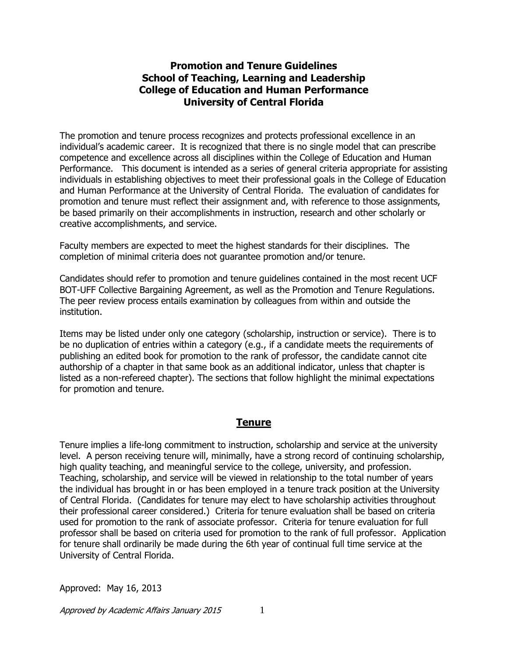#### **Promotion and Tenure Guidelines School of Teaching, Learning and Leadership College of Education and Human Performance University of Central Florida**

The promotion and tenure process recognizes and protects professional excellence in an individual's academic career. It is recognized that there is no single model that can prescribe competence and excellence across all disciplines within the College of Education and Human Performance. This document is intended as a series of general criteria appropriate for assisting individuals in establishing objectives to meet their professional goals in the College of Education and Human Performance at the University of Central Florida. The evaluation of candidates for promotion and tenure must reflect their assignment and, with reference to those assignments, be based primarily on their accomplishments in instruction, research and other scholarly or creative accomplishments, and service.

Faculty members are expected to meet the highest standards for their disciplines. The completion of minimal criteria does not guarantee promotion and/or tenure.

Candidates should refer to promotion and tenure guidelines contained in the most recent UCF BOT-UFF Collective Bargaining Agreement, as well as the Promotion and Tenure Regulations. The peer review process entails examination by colleagues from within and outside the institution.

Items may be listed under only one category (scholarship, instruction or service). There is to be no duplication of entries within a category (e.g., if a candidate meets the requirements of publishing an edited book for promotion to the rank of professor, the candidate cannot cite authorship of a chapter in that same book as an additional indicator, unless that chapter is listed as a non-refereed chapter). The sections that follow highlight the minimal expectations for promotion and tenure.

## **Tenure**

Tenure implies a life-long commitment to instruction, scholarship and service at the university level. A person receiving tenure will, minimally, have a strong record of continuing scholarship, high quality teaching, and meaningful service to the college, university, and profession. Teaching, scholarship, and service will be viewed in relationship to the total number of years the individual has brought in or has been employed in a tenure track position at the University of Central Florida. (Candidates for tenure may elect to have scholarship activities throughout their professional career considered.) Criteria for tenure evaluation shall be based on criteria used for promotion to the rank of associate professor. Criteria for tenure evaluation for full professor shall be based on criteria used for promotion to the rank of full professor. Application for tenure shall ordinarily be made during the 6th year of continual full time service at the University of Central Florida.

Approved: May 16, 2013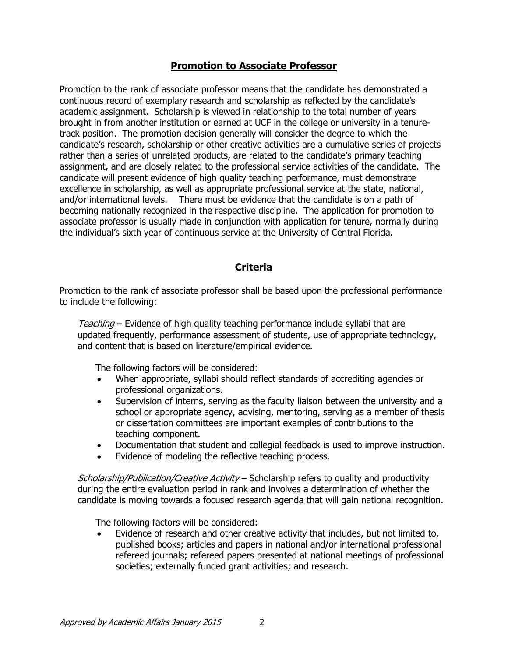#### **Promotion to Associate Professor**

Promotion to the rank of associate professor means that the candidate has demonstrated a continuous record of exemplary research and scholarship as reflected by the candidate's academic assignment. Scholarship is viewed in relationship to the total number of years brought in from another institution or earned at UCF in the college or university in a tenuretrack position. The promotion decision generally will consider the degree to which the candidate's research, scholarship or other creative activities are a cumulative series of projects rather than a series of unrelated products, are related to the candidate's primary teaching assignment, and are closely related to the professional service activities of the candidate. The candidate will present evidence of high quality teaching performance, must demonstrate excellence in scholarship, as well as appropriate professional service at the state, national, and/or international levels. There must be evidence that the candidate is on a path of becoming nationally recognized in the respective discipline. The application for promotion to associate professor is usually made in conjunction with application for tenure, normally during the individual's sixth year of continuous service at the University of Central Florida.

## **Criteria**

Promotion to the rank of associate professor shall be based upon the professional performance to include the following:

Teaching – Evidence of high quality teaching performance include syllabi that are updated frequently, performance assessment of students, use of appropriate technology, and content that is based on literature/empirical evidence.

The following factors will be considered:

- When appropriate, syllabi should reflect standards of accrediting agencies or professional organizations.
- Supervision of interns, serving as the faculty liaison between the university and a school or appropriate agency, advising, mentoring, serving as a member of thesis or dissertation committees are important examples of contributions to the teaching component.
- Documentation that student and collegial feedback is used to improve instruction.
- Evidence of modeling the reflective teaching process.

Scholarship/Publication/Creative Activity – Scholarship refers to quality and productivity during the entire evaluation period in rank and involves a determination of whether the candidate is moving towards a focused research agenda that will gain national recognition.

The following factors will be considered:

 Evidence of research and other creative activity that includes, but not limited to, published books; articles and papers in national and/or international professional refereed journals; refereed papers presented at national meetings of professional societies; externally funded grant activities; and research.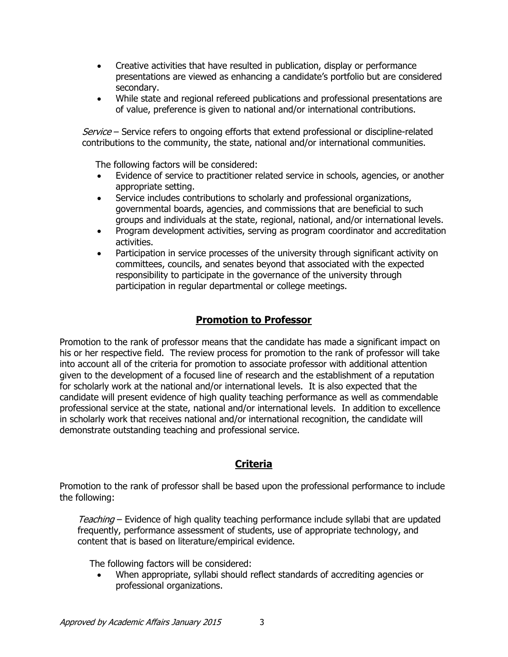- Creative activities that have resulted in publication, display or performance presentations are viewed as enhancing a candidate's portfolio but are considered secondary.
- While state and regional refereed publications and professional presentations are of value, preference is given to national and/or international contributions.

Service – Service refers to ongoing efforts that extend professional or discipline-related contributions to the community, the state, national and/or international communities.

The following factors will be considered:

- Evidence of service to practitioner related service in schools, agencies, or another appropriate setting.
- Service includes contributions to scholarly and professional organizations, governmental boards, agencies, and commissions that are beneficial to such groups and individuals at the state, regional, national, and/or international levels.
- Program development activities, serving as program coordinator and accreditation activities.
- Participation in service processes of the university through significant activity on committees, councils, and senates beyond that associated with the expected responsibility to participate in the governance of the university through participation in regular departmental or college meetings.

## **Promotion to Professor**

Promotion to the rank of professor means that the candidate has made a significant impact on his or her respective field. The review process for promotion to the rank of professor will take into account all of the criteria for promotion to associate professor with additional attention given to the development of a focused line of research and the establishment of a reputation for scholarly work at the national and/or international levels. It is also expected that the candidate will present evidence of high quality teaching performance as well as commendable professional service at the state, national and/or international levels. In addition to excellence in scholarly work that receives national and/or international recognition, the candidate will demonstrate outstanding teaching and professional service.

# **Criteria**

Promotion to the rank of professor shall be based upon the professional performance to include the following:

Teaching – Evidence of high quality teaching performance include syllabi that are updated frequently, performance assessment of students, use of appropriate technology, and content that is based on literature/empirical evidence.

The following factors will be considered:

 When appropriate, syllabi should reflect standards of accrediting agencies or professional organizations.